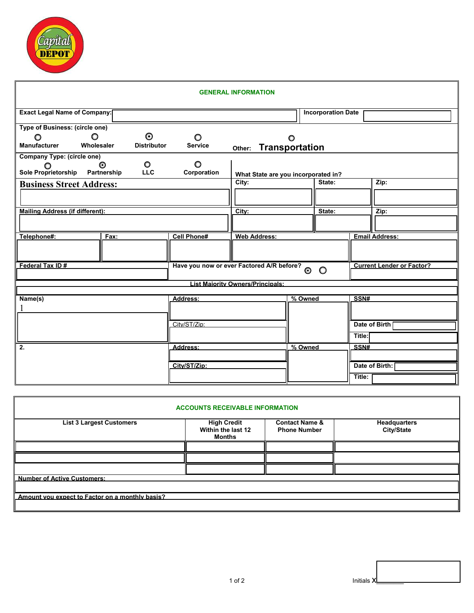

| <b>Exact Legal Name of Company:</b><br><b>Incorporation Date</b><br><b>Type of Business: (circle one)</b><br>$\odot$<br>$\circ$<br>$\circ$<br>O<br>O<br><b>Manufacturer</b><br><b>Service</b><br>Wholesaler<br><b>Distributor</b><br>Other: Transportation<br><b>Company Type: (circle one)</b><br>$\circ$<br>O<br>$\odot$<br>Sole Proprietorship Partnership<br><b>LLC</b><br>Corporation<br>What State are you incorporated in?<br>State:<br>City:<br>Zip:<br><b>Business Street Address:</b><br><b>Mailing Address (if different):</b><br>City:<br>State:<br>Zip: |  |
|----------------------------------------------------------------------------------------------------------------------------------------------------------------------------------------------------------------------------------------------------------------------------------------------------------------------------------------------------------------------------------------------------------------------------------------------------------------------------------------------------------------------------------------------------------------------|--|
|                                                                                                                                                                                                                                                                                                                                                                                                                                                                                                                                                                      |  |
|                                                                                                                                                                                                                                                                                                                                                                                                                                                                                                                                                                      |  |
|                                                                                                                                                                                                                                                                                                                                                                                                                                                                                                                                                                      |  |
|                                                                                                                                                                                                                                                                                                                                                                                                                                                                                                                                                                      |  |
|                                                                                                                                                                                                                                                                                                                                                                                                                                                                                                                                                                      |  |
|                                                                                                                                                                                                                                                                                                                                                                                                                                                                                                                                                                      |  |
|                                                                                                                                                                                                                                                                                                                                                                                                                                                                                                                                                                      |  |
|                                                                                                                                                                                                                                                                                                                                                                                                                                                                                                                                                                      |  |
|                                                                                                                                                                                                                                                                                                                                                                                                                                                                                                                                                                      |  |
|                                                                                                                                                                                                                                                                                                                                                                                                                                                                                                                                                                      |  |
|                                                                                                                                                                                                                                                                                                                                                                                                                                                                                                                                                                      |  |
|                                                                                                                                                                                                                                                                                                                                                                                                                                                                                                                                                                      |  |
| Telephone#:<br><b>Cell Phone#</b><br><b>Web Address:</b><br><b>Email Address:</b><br>Fax:                                                                                                                                                                                                                                                                                                                                                                                                                                                                            |  |
|                                                                                                                                                                                                                                                                                                                                                                                                                                                                                                                                                                      |  |
|                                                                                                                                                                                                                                                                                                                                                                                                                                                                                                                                                                      |  |
| Federal Tax ID#<br>Have you now or ever Factored A/R before?<br>O<br><b>Current Lender or Factor?</b>                                                                                                                                                                                                                                                                                                                                                                                                                                                                |  |
|                                                                                                                                                                                                                                                                                                                                                                                                                                                                                                                                                                      |  |
| <b>List Maiority Owners/Principals:</b>                                                                                                                                                                                                                                                                                                                                                                                                                                                                                                                              |  |
|                                                                                                                                                                                                                                                                                                                                                                                                                                                                                                                                                                      |  |
| % Owned<br>SSN#<br>Name(s)<br>Address:                                                                                                                                                                                                                                                                                                                                                                                                                                                                                                                               |  |
|                                                                                                                                                                                                                                                                                                                                                                                                                                                                                                                                                                      |  |
| City/ST/Zin:<br>Date of Birth                                                                                                                                                                                                                                                                                                                                                                                                                                                                                                                                        |  |
|                                                                                                                                                                                                                                                                                                                                                                                                                                                                                                                                                                      |  |
| Title:                                                                                                                                                                                                                                                                                                                                                                                                                                                                                                                                                               |  |
| % Owned<br>Address:<br>SSN#<br>2.                                                                                                                                                                                                                                                                                                                                                                                                                                                                                                                                    |  |
|                                                                                                                                                                                                                                                                                                                                                                                                                                                                                                                                                                      |  |
| City/ST/Zip:<br>Date of Birth:                                                                                                                                                                                                                                                                                                                                                                                                                                                                                                                                       |  |
| Title:                                                                                                                                                                                                                                                                                                                                                                                                                                                                                                                                                               |  |

| <b>ACCOUNTS RECEIVABLE INFORMATION</b>          |                                                    |                                                  |                                   |  |
|-------------------------------------------------|----------------------------------------------------|--------------------------------------------------|-----------------------------------|--|
| <b>List 3 Largest Customers</b>                 | <b>High Credit</b><br>Within the last 12<br>Months | <b>Contact Name &amp;</b><br><b>Phone Number</b> | Headquarters<br><b>City/State</b> |  |
|                                                 |                                                    |                                                  |                                   |  |
|                                                 |                                                    |                                                  |                                   |  |
|                                                 |                                                    |                                                  |                                   |  |
| <b>Number of Active Customers:</b>              |                                                    |                                                  |                                   |  |
|                                                 |                                                    |                                                  |                                   |  |
| Amount you expect to Factor on a monthly basis? |                                                    |                                                  |                                   |  |
|                                                 |                                                    |                                                  |                                   |  |